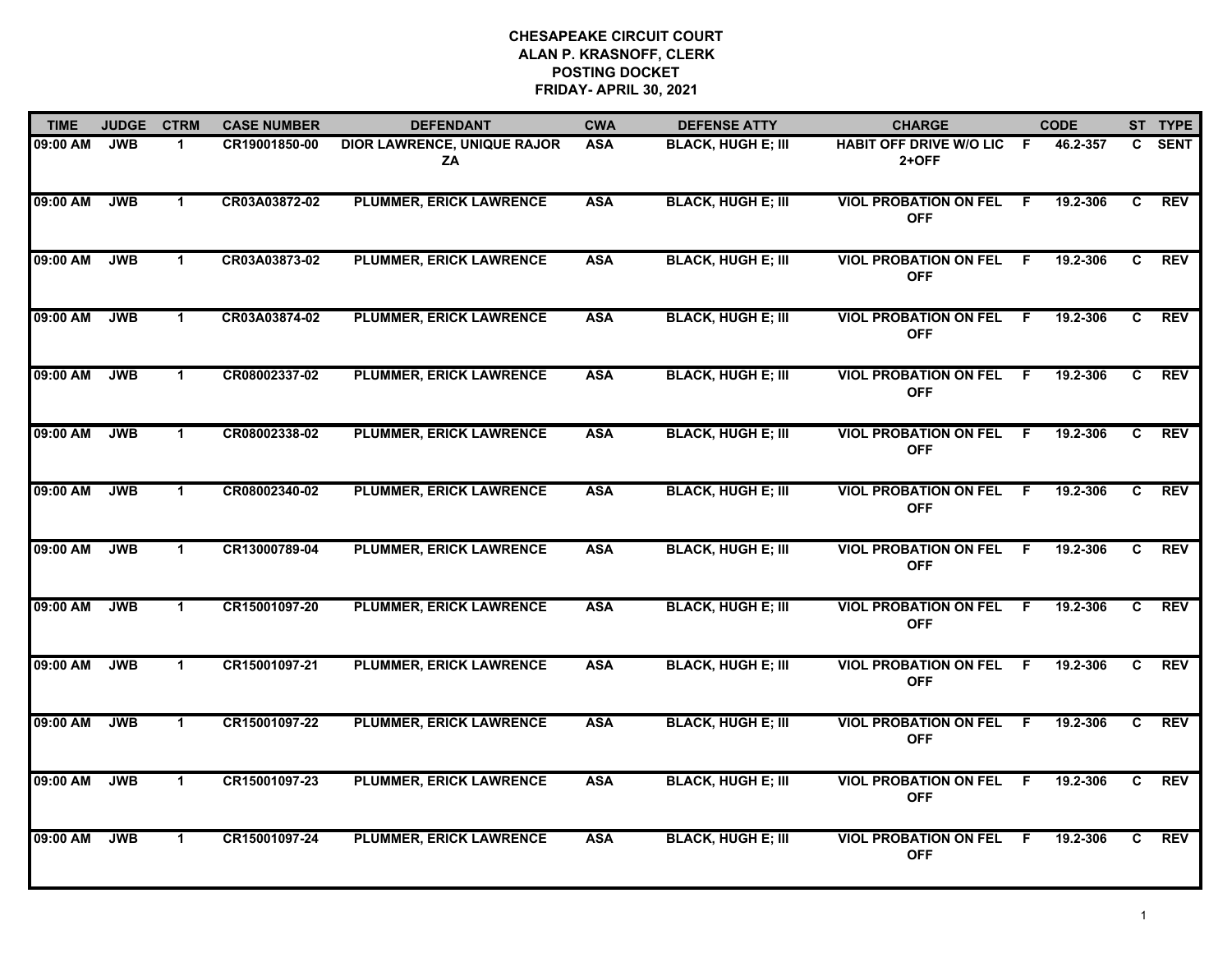| <b>TIME</b> | <b>JUDGE</b> | <b>CTRM</b>  | <b>CASE NUMBER</b> | <b>DEFENDANT</b>                         | <b>CWA</b> | <b>DEFENSE ATTY</b>       | <b>CHARGE</b>                                |     | <b>CODE</b> |    | ST TYPE    |
|-------------|--------------|--------------|--------------------|------------------------------------------|------------|---------------------------|----------------------------------------------|-----|-------------|----|------------|
| 09:00 AM    | <b>JWB</b>   | 1.           | CR19001850-00      | <b>DIOR LAWRENCE, UNIQUE RAJOR</b><br>ZA | <b>ASA</b> | <b>BLACK, HUGH E; III</b> | <b>HABIT OFF DRIVE W/O LIC</b><br>$2+OFF$    | - F | 46.2-357    | C. | SENT       |
| 09:00 AM    | <b>JWB</b>   | $\mathbf{1}$ | CR03A03872-02      | <b>PLUMMER, ERICK LAWRENCE</b>           | <b>ASA</b> | <b>BLACK, HUGH E; III</b> | <b>VIOL PROBATION ON FEL</b><br><b>OFF</b>   | - F | 19.2-306    | C  | <b>REV</b> |
| 09:00 AM    | <b>JWB</b>   | $\mathbf 1$  | CR03A03873-02      | <b>PLUMMER, ERICK LAWRENCE</b>           | <b>ASA</b> | <b>BLACK, HUGH E; III</b> | <b>VIOL PROBATION ON FEL</b><br><b>OFF</b>   | F   | 19.2-306    | C. | <b>REV</b> |
| 09:00 AM    | <b>JWB</b>   | 1.           | CR03A03874-02      | <b>PLUMMER, ERICK LAWRENCE</b>           | <b>ASA</b> | <b>BLACK, HUGH E; III</b> | <b>VIOL PROBATION ON FEL F</b><br><b>OFF</b> |     | 19.2-306    | C. | <b>REV</b> |
| 09:00 AM    | <b>JWB</b>   | $\mathbf 1$  | CR08002337-02      | <b>PLUMMER, ERICK LAWRENCE</b>           | <b>ASA</b> | <b>BLACK, HUGH E; III</b> | <b>VIOL PROBATION ON FEL</b><br><b>OFF</b>   | -F  | 19.2-306    | C. | <b>REV</b> |
| 09:00 AM    | <b>JWB</b>   | $\mathbf 1$  | CR08002338-02      | <b>PLUMMER, ERICK LAWRENCE</b>           | <b>ASA</b> | <b>BLACK, HUGH E; III</b> | <b>VIOL PROBATION ON FEL</b><br><b>OFF</b>   | F.  | 19.2-306    | C. | <b>REV</b> |
| 09:00 AM    | <b>JWB</b>   | $\mathbf 1$  | CR08002340-02      | <b>PLUMMER, ERICK LAWRENCE</b>           | <b>ASA</b> | <b>BLACK, HUGH E; III</b> | <b>VIOL PROBATION ON FEL</b><br><b>OFF</b>   | F   | 19.2-306    | C  | <b>REV</b> |
| 09:00 AM    | <b>JWB</b>   | $\mathbf 1$  | CR13000789-04      | <b>PLUMMER, ERICK LAWRENCE</b>           | <b>ASA</b> | <b>BLACK, HUGH E; III</b> | <b>VIOL PROBATION ON FEL F</b><br><b>OFF</b> |     | 19.2-306    | C. | <b>REV</b> |
| 09:00 AM    | <b>JWB</b>   | 1            | CR15001097-20      | <b>PLUMMER, ERICK LAWRENCE</b>           | <b>ASA</b> | <b>BLACK, HUGH E; III</b> | <b>VIOL PROBATION ON FEL</b><br><b>OFF</b>   | -F  | 19.2-306    | C  | <b>REV</b> |
| 09:00 AM    | <b>JWB</b>   | $\mathbf{1}$ | CR15001097-21      | <b>PLUMMER, ERICK LAWRENCE</b>           | <b>ASA</b> | <b>BLACK, HUGH E; III</b> | <b>VIOL PROBATION ON FEL</b><br><b>OFF</b>   | - F | 19.2-306    | C  | <b>REV</b> |
| 09:00 AM    | <b>JWB</b>   | $\mathbf 1$  | CR15001097-22      | <b>PLUMMER, ERICK LAWRENCE</b>           | <b>ASA</b> | <b>BLACK, HUGH E; III</b> | <b>VIOL PROBATION ON FEL F</b><br><b>OFF</b> |     | 19.2-306    | C. | <b>REV</b> |
| 09:00 AM    | <b>JWB</b>   | $\mathbf 1$  | CR15001097-23      | <b>PLUMMER, ERICK LAWRENCE</b>           | <b>ASA</b> | <b>BLACK, HUGH E; III</b> | <b>VIOL PROBATION ON FEL</b><br><b>OFF</b>   | -F  | 19.2-306    | C  | <b>REV</b> |
| 09:00 AM    | <b>JWB</b>   | $\mathbf 1$  | CR15001097-24      | <b>PLUMMER, ERICK LAWRENCE</b>           | <b>ASA</b> | <b>BLACK, HUGH E; III</b> | <b>VIOL PROBATION ON FEL</b><br><b>OFF</b>   | F.  | 19.2-306    | C. | <b>REV</b> |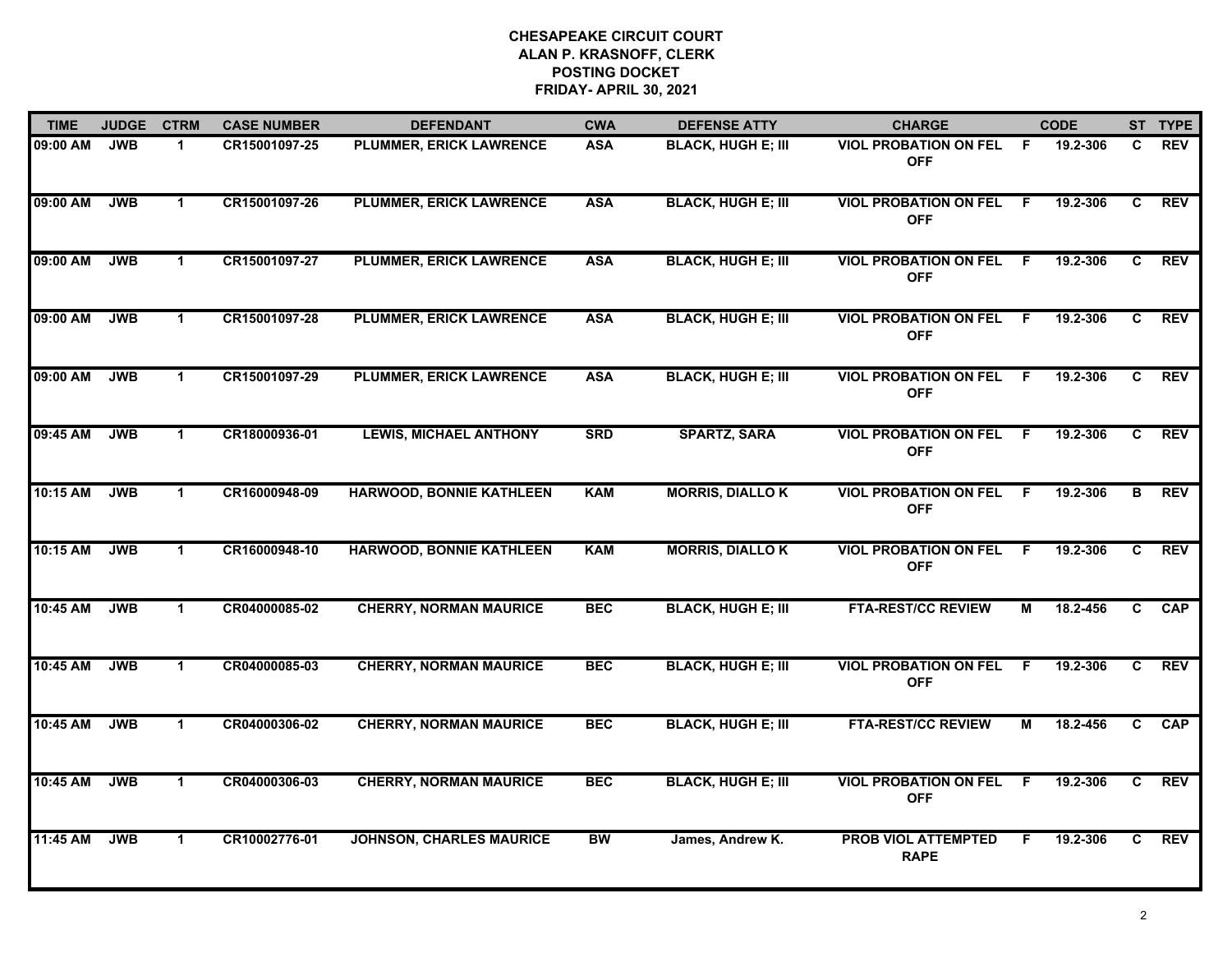| <b>TIME</b> | <b>JUDGE</b> | <b>CTRM</b>  | <b>CASE NUMBER</b> | <b>DEFENDANT</b>                | <b>CWA</b> | <b>DEFENSE ATTY</b>       | <b>CHARGE</b>                                |                | <b>CODE</b> |                | ST TYPE    |
|-------------|--------------|--------------|--------------------|---------------------------------|------------|---------------------------|----------------------------------------------|----------------|-------------|----------------|------------|
| 09:00 AM    | <b>JWB</b>   | $\mathbf 1$  | CR15001097-25      | PLUMMER, ERICK LAWRENCE         | <b>ASA</b> | <b>BLACK, HUGH E; III</b> | <b>VIOL PROBATION ON FEL</b><br><b>OFF</b>   | F.             | 19.2-306    | C              | <b>REV</b> |
| 09:00 AM    | <b>JWB</b>   | $\mathbf 1$  | CR15001097-26      | <b>PLUMMER, ERICK LAWRENCE</b>  | <b>ASA</b> | <b>BLACK, HUGH E; III</b> | <b>VIOL PROBATION ON FEL</b><br><b>OFF</b>   | - F            | 19.2-306    | C              | <b>REV</b> |
| 09:00 AM    | <b>JWB</b>   | $\mathbf 1$  | CR15001097-27      | <b>PLUMMER, ERICK LAWRENCE</b>  | <b>ASA</b> | <b>BLACK, HUGH E; III</b> | <b>VIOL PROBATION ON FEL</b><br><b>OFF</b>   | - F            | 19.2-306    | C              | <b>REV</b> |
| 09:00 AM    | <b>JWB</b>   | $\mathbf 1$  | CR15001097-28      | <b>PLUMMER, ERICK LAWRENCE</b>  | <b>ASA</b> | <b>BLACK, HUGH E; III</b> | <b>VIOL PROBATION ON FEL F</b><br><b>OFF</b> |                | 19.2-306    | C.             | <b>REV</b> |
| 09:00 AM    | <b>JWB</b>   | $\mathbf 1$  | CR15001097-29      | <b>PLUMMER, ERICK LAWRENCE</b>  | <b>ASA</b> | <b>BLACK, HUGH E; III</b> | <b>VIOL PROBATION ON FEL</b><br><b>OFF</b>   | F.             | 19.2-306    | C              | <b>REV</b> |
| 09:45 AM    | <b>JWB</b>   | $\mathbf 1$  | CR18000936-01      | <b>LEWIS, MICHAEL ANTHONY</b>   | <b>SRD</b> | <b>SPARTZ, SARA</b>       | <b>VIOL PROBATION ON FEL F</b><br><b>OFF</b> |                | 19.2-306    | C              | <b>REV</b> |
| 10:15 AM    | <b>JWB</b>   | $\mathbf{1}$ | CR16000948-09      | <b>HARWOOD, BONNIE KATHLEEN</b> | <b>KAM</b> | <b>MORRIS, DIALLOK</b>    | <b>VIOL PROBATION ON FEL</b><br><b>OFF</b>   | $\overline{F}$ | 19.2-306    | $\overline{B}$ | <b>REV</b> |
| 10:15 AM    | <b>JWB</b>   | 1            | CR16000948-10      | <b>HARWOOD, BONNIE KATHLEEN</b> | <b>KAM</b> | <b>MORRIS, DIALLOK</b>    | <b>VIOL PROBATION ON FEL</b><br><b>OFF</b>   | -F             | 19.2-306    | C.             | <b>REV</b> |
| 10:45 AM    | <b>JWB</b>   | 1            | CR04000085-02      | <b>CHERRY, NORMAN MAURICE</b>   | <b>BEC</b> | <b>BLACK, HUGH E; III</b> | <b>FTA-REST/CC REVIEW</b>                    | м              | 18.2-456    | C.             | <b>CAP</b> |
| 10:45 AM    | <b>JWB</b>   | $\mathbf 1$  | CR04000085-03      | <b>CHERRY, NORMAN MAURICE</b>   | <b>BEC</b> | <b>BLACK, HUGH E; III</b> | <b>VIOL PROBATION ON FEL</b><br><b>OFF</b>   | -F             | 19.2-306    | C.             | <b>REV</b> |
| 10:45 AM    | <b>JWB</b>   | $\mathbf 1$  | CR04000306-02      | <b>CHERRY, NORMAN MAURICE</b>   | <b>BEC</b> | <b>BLACK, HUGH E; III</b> | <b>FTA-REST/CC REVIEW</b>                    | М              | 18.2-456    | C              | <b>CAP</b> |
| 10:45 AM    | <b>JWB</b>   | $\mathbf 1$  | CR04000306-03      | <b>CHERRY, NORMAN MAURICE</b>   | <b>BEC</b> | <b>BLACK, HUGH E; III</b> | <b>VIOL PROBATION ON FEL</b><br><b>OFF</b>   | F.             | 19.2-306    | $\overline{c}$ | <b>REV</b> |
| 11:45 AM    | <b>JWB</b>   | $\mathbf 1$  | CR10002776-01      | <b>JOHNSON, CHARLES MAURICE</b> | <b>BW</b>  | James, Andrew K.          | <b>PROB VIOL ATTEMPTED</b><br><b>RAPE</b>    | F.             | 19.2-306    | C              | <b>REV</b> |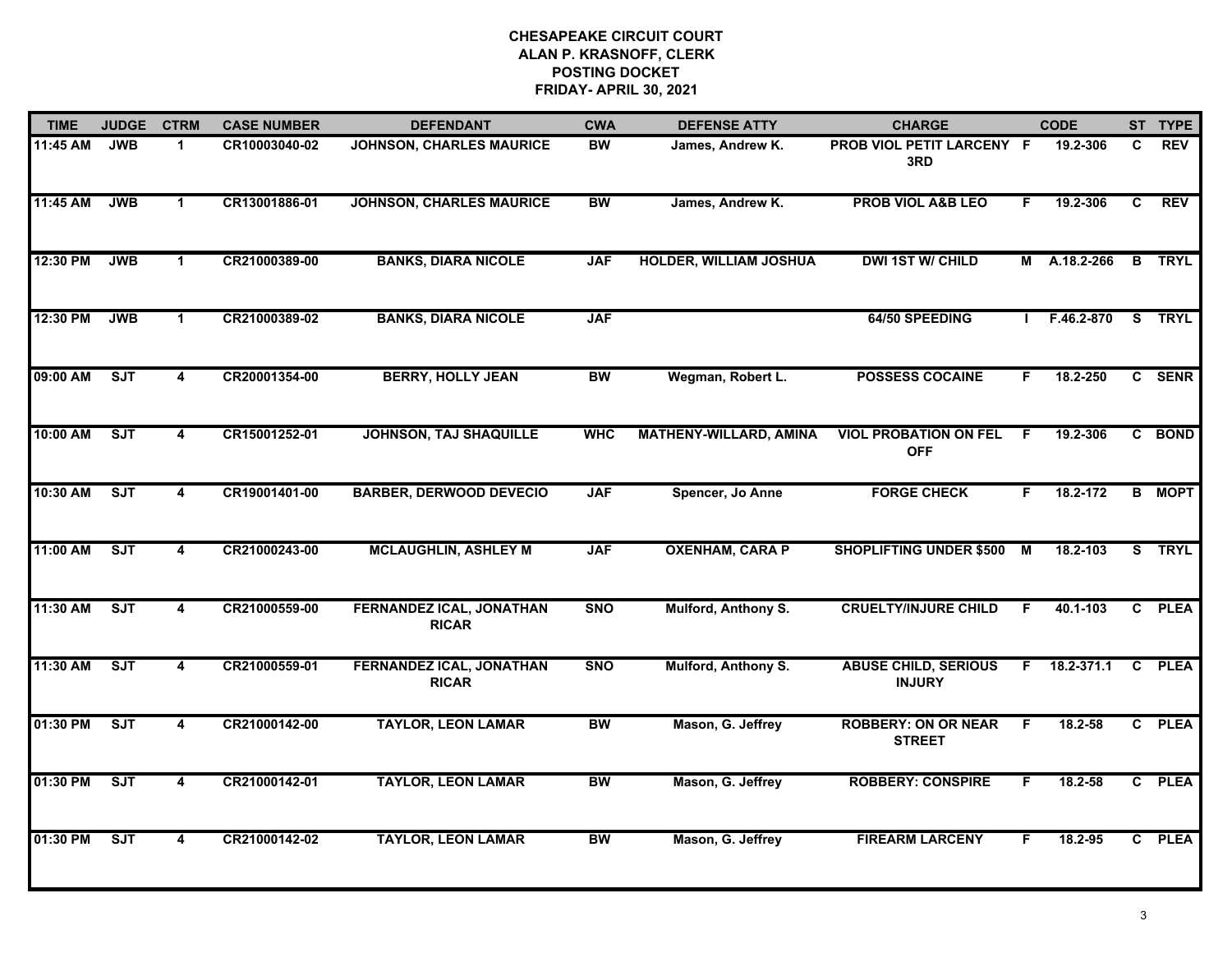| <b>TIME</b> | <b>JUDGE</b> | <b>CTRM</b>             | <b>CASE NUMBER</b> | <b>DEFENDANT</b>                                | <b>CWA</b> | <b>DEFENSE ATTY</b>           | <b>CHARGE</b>                                |    | <b>CODE</b>  |    | ST TYPE       |
|-------------|--------------|-------------------------|--------------------|-------------------------------------------------|------------|-------------------------------|----------------------------------------------|----|--------------|----|---------------|
| 11:45 AM    | <b>JWB</b>   | $\mathbf 1$             | CR10003040-02      | <b>JOHNSON, CHARLES MAURICE</b>                 | <b>BW</b>  | James, Andrew K.              | PROB VIOL PETIT LARCENY F<br>3RD             |    | 19.2-306     | C. | <b>REV</b>    |
| 11:45 AM    | <b>JWB</b>   | $\mathbf{1}$            | CR13001886-01      | <b>JOHNSON, CHARLES MAURICE</b>                 | <b>BW</b>  | James, Andrew K.              | <b>PROB VIOL A&amp;B LEO</b>                 | F  | 19.2-306     | C  | <b>REV</b>    |
| 12:30 PM    | <b>JWB</b>   | $\mathbf{1}$            | CR21000389-00      | <b>BANKS, DIARA NICOLE</b>                      | <b>JAF</b> | <b>HOLDER, WILLIAM JOSHUA</b> | <b>DWI 1ST W/ CHILD</b>                      |    | M A.18.2-266 |    | <b>B</b> TRYL |
| 12:30 PM    | <b>JWB</b>   | $\mathbf 1$             | CR21000389-02      | <b>BANKS, DIARA NICOLE</b>                      | <b>JAF</b> |                               | 64/50 SPEEDING                               |    | F.46.2-870   |    | S TRYL        |
| 09:00 AM    | SJT          | 4                       | CR20001354-00      | <b>BERRY, HOLLY JEAN</b>                        | <b>BW</b>  | Wegman, Robert L.             | <b>POSSESS COCAINE</b>                       | F. | 18.2-250     |    | C SENR        |
| 10:00 AM    | ST           | $\overline{4}$          | CR15001252-01      | <b>JOHNSON, TAJ SHAQUILLE</b>                   | <b>WHC</b> | <b>MATHENY-WILLARD, AMINA</b> | <b>VIOL PROBATION ON FEL</b><br><b>OFF</b>   | F. | 19.2-306     |    | C BOND        |
| 10:30 AM    | ST           | $\overline{4}$          | CR19001401-00      | <b>BARBER, DERWOOD DEVECIO</b>                  | <b>JAF</b> | Spencer, Jo Anne              | <b>FORGE CHECK</b>                           | F. | 18.2-172     |    | <b>B MOPT</b> |
| 11:00 AM    | ST           | 4                       | CR21000243-00      | <b>MCLAUGHLIN, ASHLEY M</b>                     | <b>JAF</b> | <b>OXENHAM, CARA P</b>        | <b>SHOPLIFTING UNDER \$500</b>               | M  | 18.2-103     |    | S TRYL        |
| 11:30 AM    | SJT          | 4                       | CR21000559-00      | FERNANDEZ ICAL, JONATHAN<br><b>RICAR</b>        | <b>SNO</b> | Mulford, Anthony S.           | <b>CRUELTY/INJURE CHILD</b>                  | F. | 40.1-103     |    | C PLEA        |
| 11:30 AM    | ST           | 4                       | CR21000559-01      | <b>FERNANDEZ ICAL, JONATHAN</b><br><b>RICAR</b> | <b>SNO</b> | Mulford, Anthony S.           | <b>ABUSE CHILD, SERIOUS</b><br><b>INJURY</b> | F. | 18.2-371.1   |    | C PLEA        |
| 01:30 PM    | ST           | 4                       | CR21000142-00      | <b>TAYLOR, LEON LAMAR</b>                       | <b>BW</b>  | Mason, G. Jeffrey             | <b>ROBBERY: ON OR NEAR</b><br><b>STREET</b>  | F. | 18.2-58      |    | C PLEA        |
| 01:30 PM    | ST           | 4                       | CR21000142-01      | <b>TAYLOR, LEON LAMAR</b>                       | <b>BW</b>  | Mason, G. Jeffrey             | <b>ROBBERY: CONSPIRE</b>                     | F. | 18.2-58      |    | C PLEA        |
| 01:30 PM    | ST           | $\overline{\mathbf{A}}$ | CR21000142-02      | <b>TAYLOR, LEON LAMAR</b>                       | <b>BW</b>  | Mason, G. Jeffrey             | <b>FIREARM LARCENY</b>                       | F  | 18.2-95      |    | C PLEA        |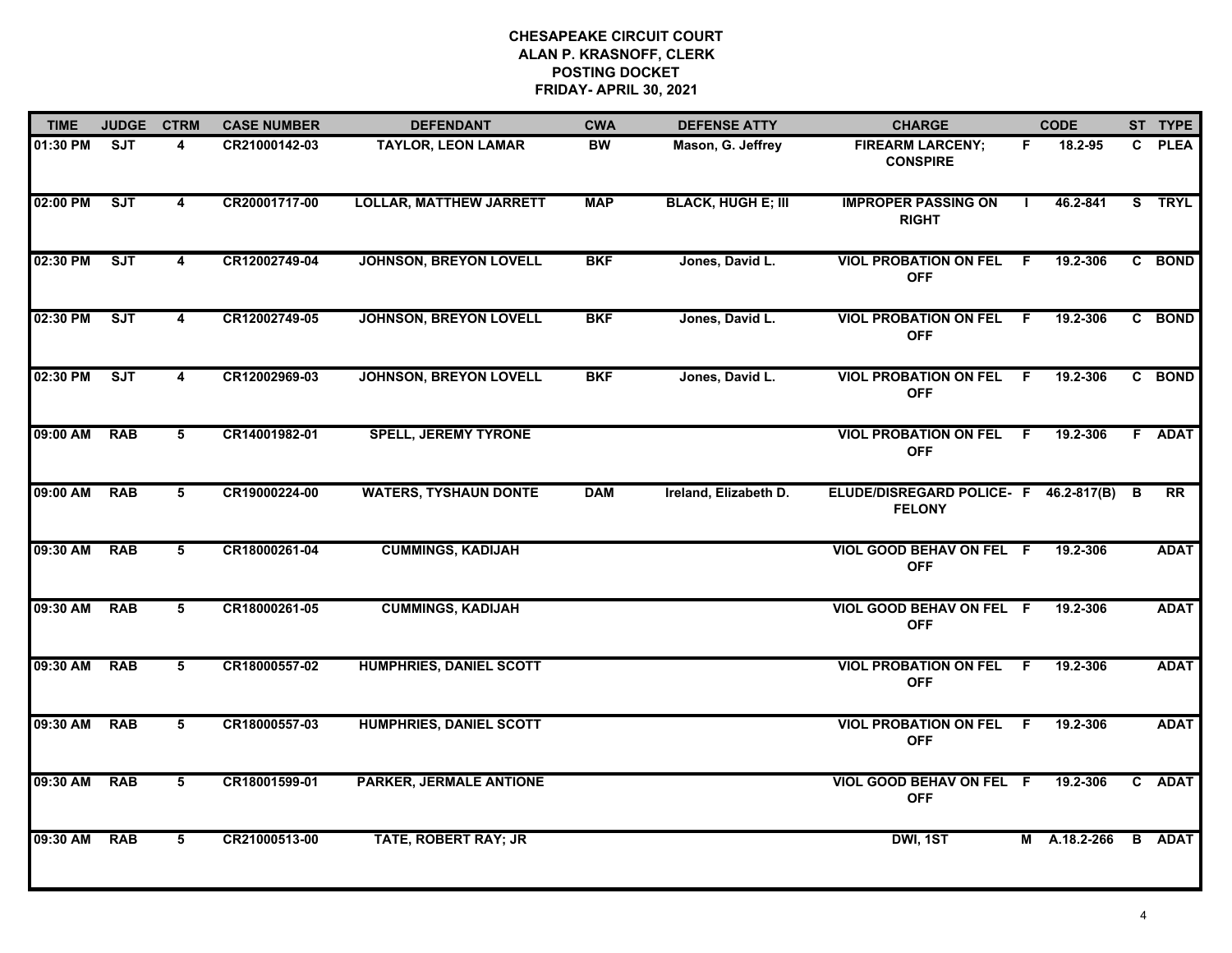| <b>TIME</b>  | <b>JUDGE</b> | <b>CTRM</b>             | <b>CASE NUMBER</b> | <b>DEFENDANT</b>               | <b>CWA</b> | <b>DEFENSE ATTY</b>       | <b>CHARGE</b>                                            |              | <b>CODE</b>  |              | ST TYPE       |
|--------------|--------------|-------------------------|--------------------|--------------------------------|------------|---------------------------|----------------------------------------------------------|--------------|--------------|--------------|---------------|
| 01:30 PM     | <b>SJT</b>   | 4                       | CR21000142-03      | <b>TAYLOR, LEON LAMAR</b>      | <b>BW</b>  | Mason, G. Jeffrey         | <b>FIREARM LARCENY;</b><br><b>CONSPIRE</b>               | F.           | 18.2-95      | C.           | <b>PLEA</b>   |
| 02:00 PM     | SJT          | $\overline{\mathbf{4}}$ | CR20001717-00      | <b>LOLLAR, MATTHEW JARRETT</b> | <b>MAP</b> | <b>BLACK, HUGH E; III</b> | <b>IMPROPER PASSING ON</b><br><b>RIGHT</b>               | $\mathbf{L}$ | 46.2-841     |              | S TRYL        |
| 02:30 PM     | SJT          | $\overline{\mathbf{4}}$ | CR12002749-04      | <b>JOHNSON, BREYON LOVELL</b>  | <b>BKF</b> | Jones, David L.           | <b>VIOL PROBATION ON FEL F</b><br><b>OFF</b>             |              | 19.2-306     |              | C BOND        |
| 02:30 PM     | <b>SJT</b>   | $\overline{\mathbf{4}}$ | CR12002749-05      | <b>JOHNSON, BREYON LOVELL</b>  | <b>BKF</b> | Jones, David L.           | <b>VIOL PROBATION ON FEL</b><br><b>OFF</b>               | F            | 19.2-306     |              | C BOND        |
| 02:30 PM     | SJT          | $\overline{\mathbf{4}}$ | CR12002969-03      | <b>JOHNSON, BREYON LOVELL</b>  | <b>BKF</b> | Jones, David L.           | <b>VIOL PROBATION ON FEL F</b><br><b>OFF</b>             |              | 19.2-306     |              | C BOND        |
| 09:00 AM     | <b>RAB</b>   | 5                       | CR14001982-01      | <b>SPELL, JEREMY TYRONE</b>    |            |                           | <b>VIOL PROBATION ON FEL F</b><br><b>OFF</b>             |              | 19.2-306     | F            | <b>ADAT</b>   |
| 09:00 AM     | <b>RAB</b>   | 5                       | CR19000224-00      | <b>WATERS, TYSHAUN DONTE</b>   | <b>DAM</b> | Ireland, Elizabeth D.     | ELUDE/DISREGARD POLICE- F 46.2-817(B) B<br><b>FELONY</b> |              |              |              | RR            |
| 09:30 AM     | <b>RAB</b>   | 5                       | CR18000261-04      | <b>CUMMINGS, KADIJAH</b>       |            |                           | VIOL GOOD BEHAV ON FEL F<br><b>OFF</b>                   |              | 19.2-306     |              | <b>ADAT</b>   |
| 09:30 AM     | <b>RAB</b>   | 5                       | CR18000261-05      | <b>CUMMINGS, KADIJAH</b>       |            |                           | VIOL GOOD BEHAV ON FEL F<br><b>OFF</b>                   |              | 19.2-306     |              | <b>ADAT</b>   |
| 09:30 AM RAB |              | 5                       | CR18000557-02      | <b>HUMPHRIES, DANIEL SCOTT</b> |            |                           | <b>VIOL PROBATION ON FEL F</b><br><b>OFF</b>             |              | 19.2-306     |              | <b>ADAT</b>   |
| 09:30 AM     | <b>RAB</b>   | $5\overline{5}$         | CR18000557-03      | <b>HUMPHRIES, DANIEL SCOTT</b> |            |                           | <b>VIOL PROBATION ON FEL</b><br><b>OFF</b>               | F.           | 19.2-306     |              | <b>ADAT</b>   |
| 09:30 AM     | <b>RAB</b>   | $5\overline{)}$         | CR18001599-01      | <b>PARKER, JERMALE ANTIONE</b> |            |                           | VIOL GOOD BEHAV ON FEL F<br><b>OFF</b>                   |              | 19.2-306     | $\mathbf{c}$ | <b>ADAT</b>   |
| 09:30 AM     | <b>RAB</b>   | 5                       | CR21000513-00      | <b>TATE, ROBERT RAY; JR</b>    |            |                           | DWI, 1ST                                                 |              | M A.18.2-266 |              | <b>B</b> ADAT |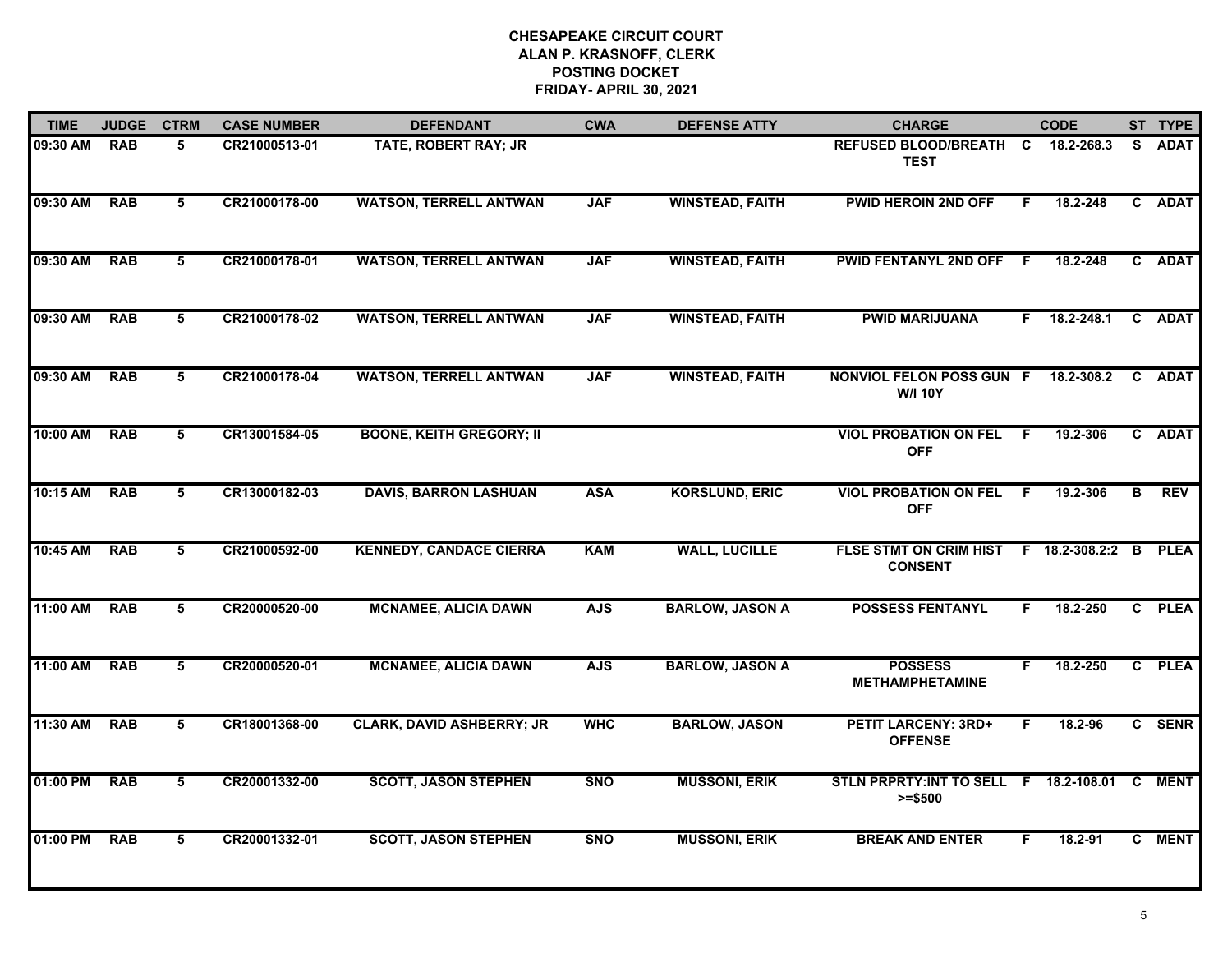| <b>TIME</b> | <b>JUDGE</b> | <b>CTRM</b>    | <b>CASE NUMBER</b> | <b>DEFENDANT</b>                 | <b>CWA</b> | <b>DEFENSE ATTY</b>    | <b>CHARGE</b>                                       |     | <b>CODE</b>    |    | ST TYPE     |
|-------------|--------------|----------------|--------------------|----------------------------------|------------|------------------------|-----------------------------------------------------|-----|----------------|----|-------------|
| 09:30 AM    | <b>RAB</b>   | 5              | CR21000513-01      | TATE, ROBERT RAY; JR             |            |                        | <b>REFUSED BLOOD/BREATH</b><br><b>TEST</b>          | C   | 18.2-268.3     | S. | <b>ADAT</b> |
| 09:30 AM    | <b>RAB</b>   | 5              | CR21000178-00      | <b>WATSON, TERRELL ANTWAN</b>    | <b>JAF</b> | <b>WINSTEAD, FAITH</b> | <b>PWID HEROIN 2ND OFF</b>                          | F.  | 18.2-248       |    | C ADAT      |
| 09:30 AM    | <b>RAB</b>   | 5              | CR21000178-01      | <b>WATSON, TERRELL ANTWAN</b>    | <b>JAF</b> | <b>WINSTEAD, FAITH</b> | <b>PWID FENTANYL 2ND OFF</b>                        | - F | 18.2-248       |    | C ADAT      |
| 09:30 AM    | <b>RAB</b>   | 5              | CR21000178-02      | <b>WATSON, TERRELL ANTWAN</b>    | <b>JAF</b> | <b>WINSTEAD, FAITH</b> | <b>PWID MARIJUANA</b>                               | F.  | 18.2-248.1     |    | C ADAT      |
| 09:30 AM    | <b>RAB</b>   | 5              | CR21000178-04      | <b>WATSON, TERRELL ANTWAN</b>    | <b>JAF</b> | <b>WINSTEAD, FAITH</b> | NONVIOL FELON POSS GUN F<br><b>W/I 10Y</b>          |     | 18.2-308.2     |    | C ADAT      |
| 10:00 AM    | <b>RAB</b>   | 5              | CR13001584-05      | <b>BOONE, KEITH GREGORY; II</b>  |            |                        | <b>VIOL PROBATION ON FEL</b><br><b>OFF</b>          | - F | 19.2-306       |    | C ADAT      |
| 10:15 AM    | <b>RAB</b>   | $\overline{5}$ | CR13000182-03      | <b>DAVIS, BARRON LASHUAN</b>     | <b>ASA</b> | <b>KORSLUND, ERIC</b>  | <b>VIOL PROBATION ON FEL</b><br><b>OFF</b>          | F.  | 19.2-306       | В  | <b>REV</b>  |
| 10:45 AM    | <b>RAB</b>   | 5              | CR21000592-00      | <b>KENNEDY, CANDACE CIERRA</b>   | <b>KAM</b> | <b>WALL, LUCILLE</b>   | <b>FLSE STMT ON CRIM HIST</b><br><b>CONSENT</b>     |     | F 18.2-308.2:2 | B  | <b>PLEA</b> |
| 11:00 AM    | <b>RAB</b>   | 5              | CR20000520-00      | <b>MCNAMEE, ALICIA DAWN</b>      | <b>AJS</b> | <b>BARLOW, JASON A</b> | <b>POSSESS FENTANYL</b>                             | F.  | 18.2-250       |    | C PLEA      |
| 11:00 AM    | <b>RAB</b>   | 5              | CR20000520-01      | <b>MCNAMEE, ALICIA DAWN</b>      | <b>AJS</b> | <b>BARLOW, JASON A</b> | <b>POSSESS</b><br><b>METHAMPHETAMINE</b>            | F   | 18.2-250       |    | C PLEA      |
| 11:30 AM    | <b>RAB</b>   | 5              | CR18001368-00      | <b>CLARK, DAVID ASHBERRY; JR</b> | <b>WHC</b> | <b>BARLOW, JASON</b>   | <b>PETIT LARCENY: 3RD+</b><br><b>OFFENSE</b>        | F.  | 18.2-96        |    | C SENR      |
| 01:00 PM    | <b>RAB</b>   | 5              | CR20001332-00      | <b>SCOTT, JASON STEPHEN</b>      | <b>SNO</b> | <b>MUSSONI, ERIK</b>   | STLN PRPRTY: INT TO SELL F 18.2-108.01<br>$>= $500$ |     |                | C  | <b>MENT</b> |
| 01:00 PM    | <b>RAB</b>   | 5              | CR20001332-01      | <b>SCOTT, JASON STEPHEN</b>      | <b>SNO</b> | <b>MUSSONI, ERIK</b>   | <b>BREAK AND ENTER</b>                              | F.  | 18.2-91        |    | C MENT      |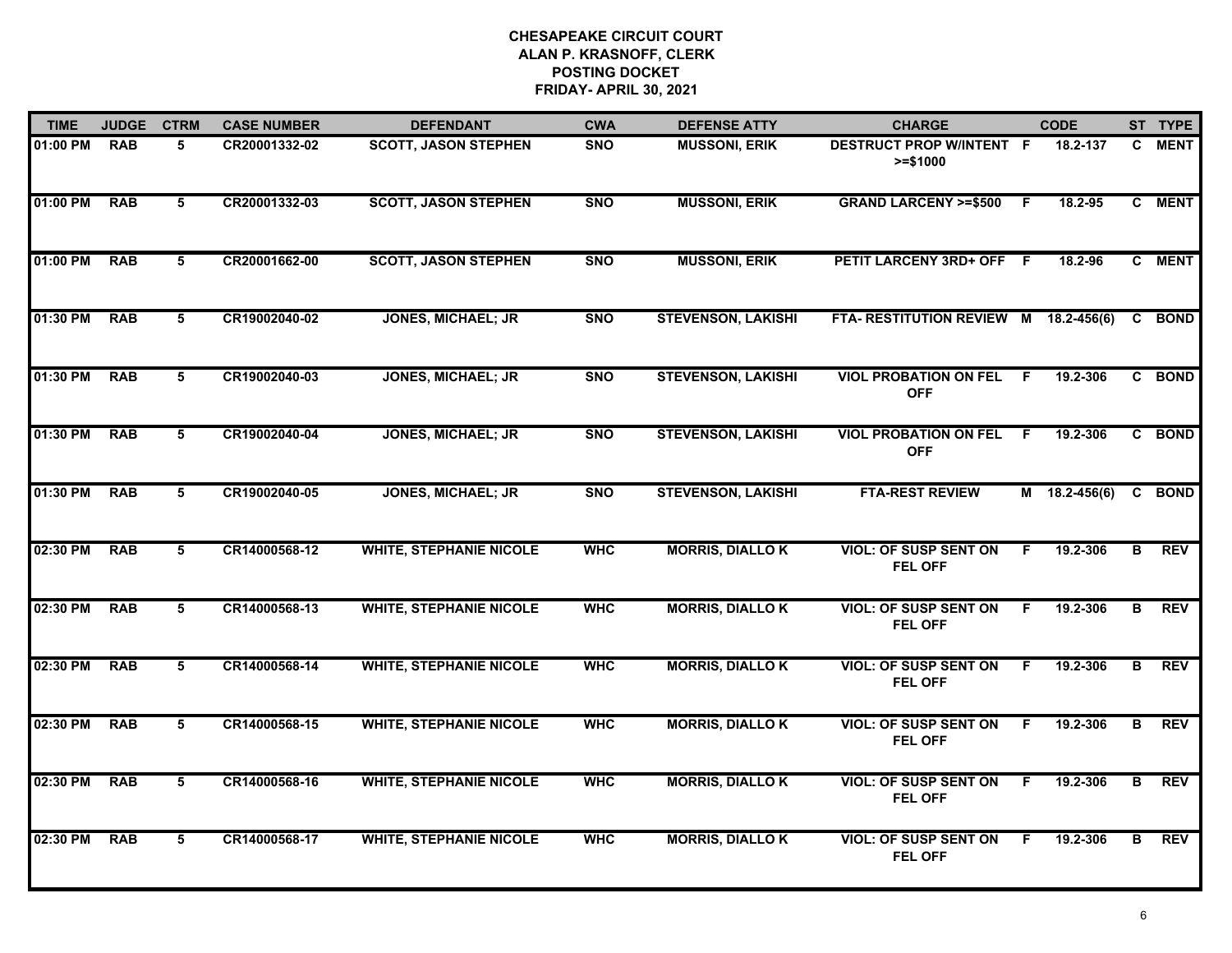| <b>TIME</b> | <b>JUDGE</b> | <b>CTRM</b>     | <b>CASE NUMBER</b> | <b>DEFENDANT</b>               | <b>CWA</b> | <b>DEFENSE ATTY</b>       | <b>CHARGE</b>                                  |              | <b>CODE</b>     |                         | ST TYPE    |
|-------------|--------------|-----------------|--------------------|--------------------------------|------------|---------------------------|------------------------------------------------|--------------|-----------------|-------------------------|------------|
| 01:00 PM    | <b>RAB</b>   | 5               | CR20001332-02      | <b>SCOTT, JASON STEPHEN</b>    | <b>SNO</b> | <b>MUSSONI, ERIK</b>      | DESTRUCT PROP W/INTENT F<br>$>= $1000$         |              | 18.2-137        |                         | C MENT     |
| 01:00 PM    | <b>RAB</b>   | $5\overline{)}$ | CR20001332-03      | <b>SCOTT, JASON STEPHEN</b>    | <b>SNO</b> | <b>MUSSONI, ERIK</b>      | <b>GRAND LARCENY &gt;=\$500</b>                | -F           | 18.2-95         |                         | C MENT     |
| 01:00 PM    | <b>RAB</b>   | $\overline{5}$  | CR20001662-00      | <b>SCOTT, JASON STEPHEN</b>    | <b>SNO</b> | <b>MUSSONI, ERIK</b>      | PETIT LARCENY 3RD+ OFF F                       |              | 18.2-96         |                         | C MENT     |
| 01:30 PM    | <b>RAB</b>   | 5               | CR19002040-02      | <b>JONES, MICHAEL; JR</b>      | <b>SNO</b> | <b>STEVENSON, LAKISHI</b> | FTA-RESTITUTION REVIEW M 18.2-456(6)           |              |                 |                         | C BOND     |
| 01:30 PM    | <b>RAB</b>   | 5               | CR19002040-03      | <b>JONES, MICHAEL; JR</b>      | <b>SNO</b> | <b>STEVENSON, LAKISHI</b> | <b>VIOL PROBATION ON FEL</b><br><b>OFF</b>     | -F           | 19.2-306        |                         | C BOND     |
| 01:30 PM    | <b>RAB</b>   | 5               | CR19002040-04      | <b>JONES, MICHAEL; JR</b>      | <b>SNO</b> | <b>STEVENSON, LAKISHI</b> | <b>VIOL PROBATION ON FEL</b><br><b>OFF</b>     | $\mathsf{F}$ | 19.2-306        |                         | C BOND     |
| 01:30 PM    | <b>RAB</b>   | $5\overline{5}$ | CR19002040-05      | <b>JONES, MICHAEL; JR</b>      | <b>SNO</b> | <b>STEVENSON, LAKISHI</b> | <b>FTA-REST REVIEW</b>                         |              | $M$ 18.2-456(6) |                         | C BOND     |
| 02:30 PM    | <b>RAB</b>   | 5               | CR14000568-12      | <b>WHITE, STEPHANIE NICOLE</b> | <b>WHC</b> | <b>MORRIS, DIALLOK</b>    | <b>VIOL: OF SUSP SENT ON</b><br><b>FEL OFF</b> | -F           | 19.2-306        | в                       | <b>REV</b> |
| 02:30 PM    | <b>RAB</b>   | 5               | CR14000568-13      | <b>WHITE, STEPHANIE NICOLE</b> | <b>WHC</b> | <b>MORRIS, DIALLOK</b>    | <b>VIOL: OF SUSP SENT ON</b><br><b>FEL OFF</b> | F            | 19.2-306        | в                       | <b>REV</b> |
| 02:30 PM    | <b>RAB</b>   | 5               | CR14000568-14      | <b>WHITE, STEPHANIE NICOLE</b> | <b>WHC</b> | <b>MORRIS, DIALLOK</b>    | <b>VIOL: OF SUSP SENT ON</b><br><b>FEL OFF</b> | F            | 19.2-306        | в                       | <b>REV</b> |
| 02:30 PM    | <b>RAB</b>   | 5               | CR14000568-15      | <b>WHITE, STEPHANIE NICOLE</b> | <b>WHC</b> | <b>MORRIS, DIALLOK</b>    | <b>VIOL: OF SUSP SENT ON</b><br><b>FEL OFF</b> | F.           | 19.2-306        | в                       | <b>REV</b> |
| 02:30 PM    | <b>RAB</b>   | $5\overline{5}$ | CR14000568-16      | <b>WHITE, STEPHANIE NICOLE</b> | <b>WHC</b> | <b>MORRIS, DIALLO K</b>   | <b>VIOL: OF SUSP SENT ON</b><br><b>FEL OFF</b> | F            | 19.2-306        | $\overline{\mathbf{B}}$ | <b>REV</b> |
| 02:30 PM    | <b>RAB</b>   | 5               | CR14000568-17      | <b>WHITE, STEPHANIE NICOLE</b> | <b>WHC</b> | <b>MORRIS, DIALLOK</b>    | <b>VIOL: OF SUSP SENT ON</b><br><b>FEL OFF</b> | F            | 19.2-306        | в                       | <b>REV</b> |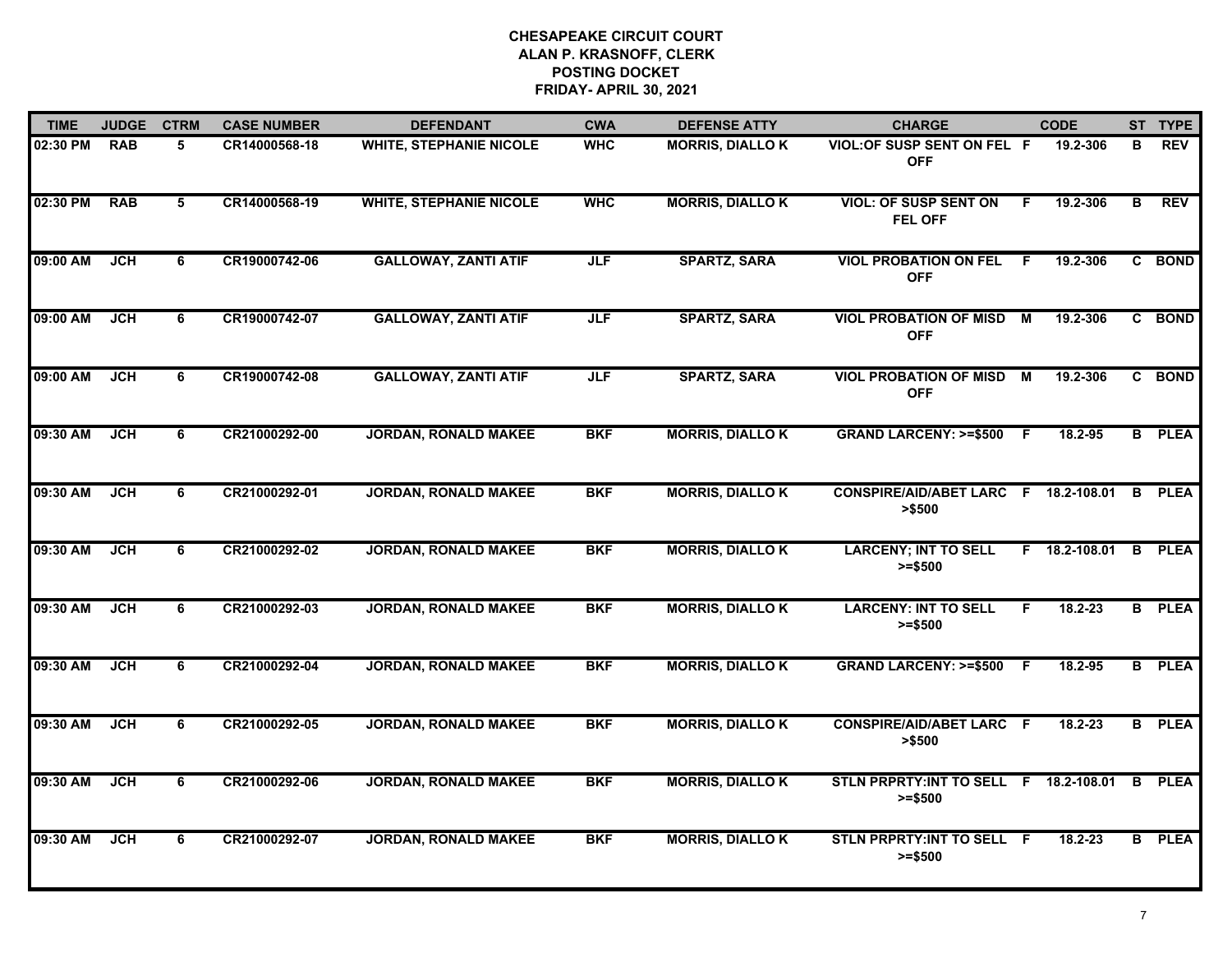| <b>TIME</b> | <b>JUDGE</b> | <b>CTRM</b> | <b>CASE NUMBER</b> | <b>DEFENDANT</b>               | <b>CWA</b> | <b>DEFENSE ATTY</b>     | <b>CHARGE</b>                                       |    | <b>CODE</b>   |   | ST TYPE       |
|-------------|--------------|-------------|--------------------|--------------------------------|------------|-------------------------|-----------------------------------------------------|----|---------------|---|---------------|
| 02:30 PM    | <b>RAB</b>   | 5           | CR14000568-18      | <b>WHITE, STEPHANIE NICOLE</b> | <b>WHC</b> | <b>MORRIS, DIALLOK</b>  | <b>VIOL: OF SUSP SENT ON FEL F</b><br><b>OFF</b>    |    | 19.2-306      | В | <b>REV</b>    |
| 02:30 PM    | <b>RAB</b>   | 5           | CR14000568-19      | <b>WHITE, STEPHANIE NICOLE</b> | <b>WHC</b> | <b>MORRIS, DIALLO K</b> | <b>VIOL: OF SUSP SENT ON</b><br><b>FEL OFF</b>      | F  | 19.2-306      | B | REV           |
| 09:00 AM    | JCH          | 6           | CR19000742-06      | <b>GALLOWAY, ZANTI ATIF</b>    | <b>JLF</b> | <b>SPARTZ, SARA</b>     | <b>VIOL PROBATION ON FEL</b><br><b>OFF</b>          | F. | 19.2-306      |   | C BOND        |
| 09:00 AM    | <b>JCH</b>   | 6           | CR19000742-07      | <b>GALLOWAY, ZANTI ATIF</b>    | <b>JLF</b> | <b>SPARTZ, SARA</b>     | <b>VIOL PROBATION OF MISD</b><br><b>OFF</b>         | M  | 19.2-306      |   | C BOND        |
| 09:00 AM    | <b>JCH</b>   | 6           | CR19000742-08      | <b>GALLOWAY, ZANTI ATIF</b>    | <b>JLF</b> | <b>SPARTZ, SARA</b>     | <b>VIOL PROBATION OF MISD</b><br><b>OFF</b>         | M  | 19.2-306      |   | C BOND        |
| 09:30 AM    | <b>JCH</b>   | 6           | CR21000292-00      | <b>JORDAN, RONALD MAKEE</b>    | <b>BKF</b> | <b>MORRIS, DIALLOK</b>  | GRAND LARCENY: >=\$500 F                            |    | 18.2-95       |   | <b>B</b> PLEA |
| 09:30 AM    | <b>JCH</b>   | 6           | CR21000292-01      | <b>JORDAN, RONALD MAKEE</b>    | <b>BKF</b> | <b>MORRIS, DIALLO K</b> | CONSPIRE/AID/ABET LARC F 18.2-108.01<br>> \$500     |    |               | B | <b>PLEA</b>   |
| 09:30 AM    | JCH          | 6           | CR21000292-02      | <b>JORDAN, RONALD MAKEE</b>    | <b>BKF</b> | <b>MORRIS, DIALLOK</b>  | <b>LARCENY; INT TO SELL</b><br>$>= $500$            |    | F 18.2-108.01 |   | <b>B</b> PLEA |
| 09:30 AM    | <b>JCH</b>   | 6           | CR21000292-03      | <b>JORDAN, RONALD MAKEE</b>    | <b>BKF</b> | <b>MORRIS, DIALLOK</b>  | <b>LARCENY: INT TO SELL</b><br>$>= $500$            | F  | $18.2 - 23$   |   | <b>B</b> PLEA |
| 09:30 AM    | <b>JCH</b>   | 6           | CR21000292-04      | <b>JORDAN, RONALD MAKEE</b>    | <b>BKF</b> | <b>MORRIS, DIALLOK</b>  | <b>GRAND LARCENY: &gt;=\$500</b>                    | -F | $18.2 - 95$   |   | <b>B</b> PLEA |
| 09:30 AM    | <b>JCH</b>   | 6           | CR21000292-05      | <b>JORDAN, RONALD MAKEE</b>    | <b>BKF</b> | <b>MORRIS, DIALLOK</b>  | <b>CONSPIRE/AID/ABET LARC F</b><br>> \$500          |    | 18.2-23       |   | <b>B</b> PLEA |
| 09:30 AM    | JCH          | 6           | CR21000292-06      | <b>JORDAN, RONALD MAKEE</b>    | <b>BKF</b> | <b>MORRIS, DIALLOK</b>  | STLN PRPRTY: INT TO SELL F 18.2-108.01<br>$>= $500$ |    |               | B | <b>PLEA</b>   |
| 09:30 AM    | JCH          | 6           | CR21000292-07      | <b>JORDAN, RONALD MAKEE</b>    | <b>BKF</b> | <b>MORRIS, DIALLOK</b>  | STLN PRPRTY: INT TO SELL F<br>$>= $500$             |    | $18.2 - 23$   |   | <b>B</b> PLEA |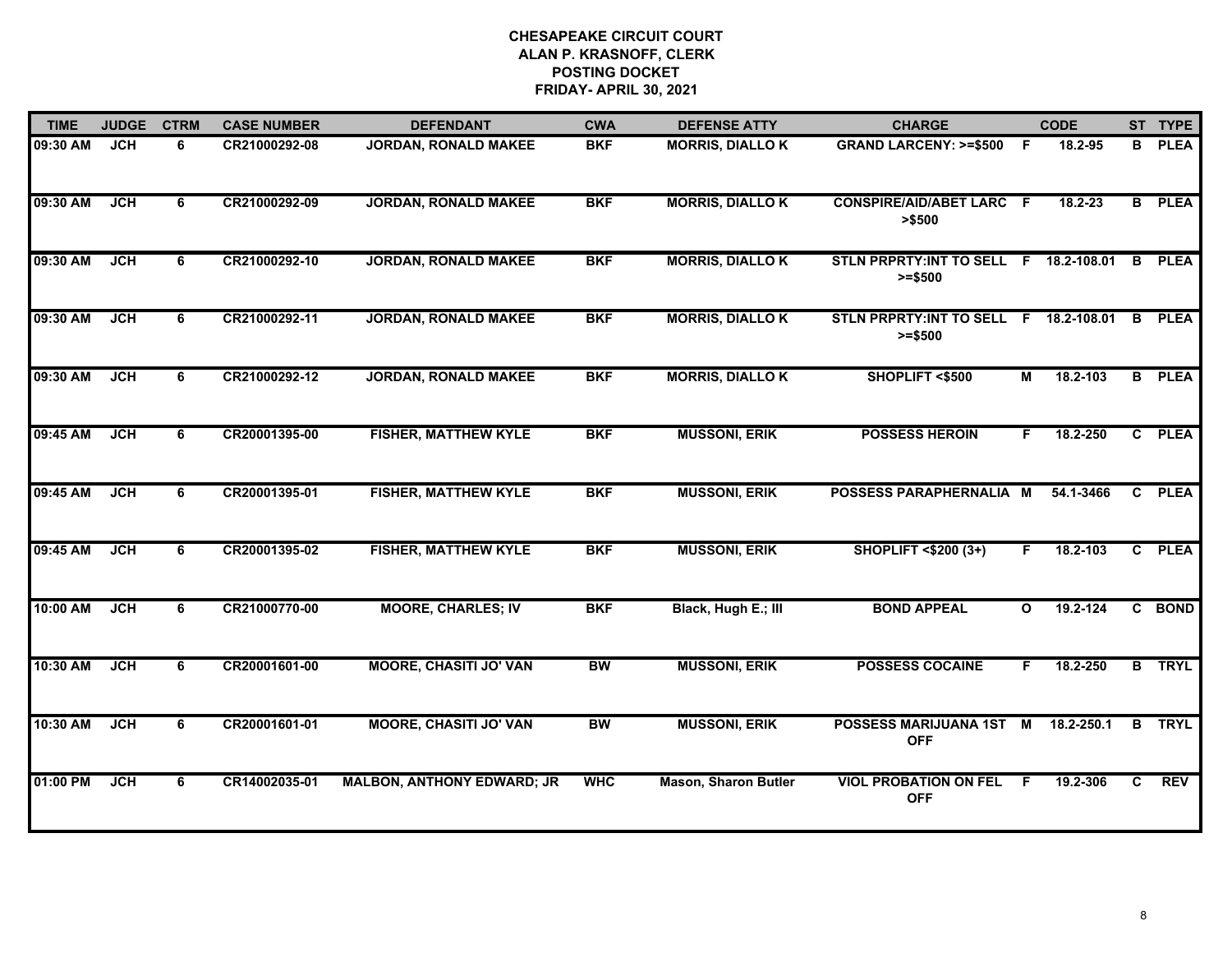| <b>TIME</b> | <b>JUDGE</b> | <b>CTRM</b> | <b>CASE NUMBER</b> | <b>DEFENDANT</b>                  | <b>CWA</b> | <b>DEFENSE ATTY</b>         | <b>CHARGE</b>                                       |                | <b>CODE</b> |    | ST TYPE       |
|-------------|--------------|-------------|--------------------|-----------------------------------|------------|-----------------------------|-----------------------------------------------------|----------------|-------------|----|---------------|
| 09:30 AM    | <b>JCH</b>   | 6           | CR21000292-08      | <b>JORDAN, RONALD MAKEE</b>       | <b>BKF</b> | <b>MORRIS, DIALLOK</b>      | <b>GRAND LARCENY: &gt;=\$500</b>                    | F              | 18.2-95     | B  | <b>PLEA</b>   |
| 09:30 AM    | <b>JCH</b>   | 6           | CR21000292-09      | <b>JORDAN, RONALD MAKEE</b>       | <b>BKF</b> | <b>MORRIS, DIALLOK</b>      | <b>CONSPIRE/AID/ABET LARC F</b><br>> \$500          |                | $18.2 - 23$ |    | <b>B</b> PLEA |
| 09:30 AM    | <b>JCH</b>   | 6           | CR21000292-10      | <b>JORDAN, RONALD MAKEE</b>       | <b>BKF</b> | <b>MORRIS, DIALLO K</b>     | STLN PRPRTY: INT TO SELL F 18.2-108.01<br>$>= $500$ |                |             | B  | <b>PLEA</b>   |
| 09:30 AM    | JCH          | 6           | CR21000292-11      | <b>JORDAN, RONALD MAKEE</b>       | <b>BKF</b> | <b>MORRIS, DIALLOK</b>      | STLN PRPRTY:INT TO SELL F 18.2-108.01<br>$>= $500$  |                |             | B. | <b>PLEA</b>   |
| 09:30 AM    | <b>JCH</b>   | 6           | CR21000292-12      | <b>JORDAN, RONALD MAKEE</b>       | <b>BKF</b> | <b>MORRIS, DIALLOK</b>      | SHOPLIFT <\$500                                     | М              | 18.2-103    |    | <b>B</b> PLEA |
| 09:45 AM    | <b>JCH</b>   | 6           | CR20001395-00      | <b>FISHER, MATTHEW KYLE</b>       | <b>BKF</b> | <b>MUSSONI, ERIK</b>        | <b>POSSESS HEROIN</b>                               | F.             | 18.2-250    |    | C PLEA        |
| 09:45 AM    | <b>JCH</b>   | 6           | CR20001395-01      | <b>FISHER, MATTHEW KYLE</b>       | <b>BKF</b> | <b>MUSSONI, ERIK</b>        | POSSESS PARAPHERNALIA M                             |                | 54.1-3466   |    | C PLEA        |
| 09:45 AM    | <b>JCH</b>   | 6           | CR20001395-02      | <b>FISHER, MATTHEW KYLE</b>       | <b>BKF</b> | <b>MUSSONI, ERIK</b>        | <b>SHOPLIFT &lt;\$200 (3+)</b>                      | F.             | 18.2-103    |    | C PLEA        |
| 10:00 AM    | JCH          | 6           | CR21000770-00      | <b>MOORE, CHARLES; IV</b>         | <b>BKF</b> | Black, Hugh E.; III         | <b>BOND APPEAL</b>                                  | $\mathbf{o}$   | 19.2-124    |    | C BOND        |
| 10:30 AM    | <b>JCH</b>   | 6           | CR20001601-00      | <b>MOORE, CHASITI JO' VAN</b>     | <b>BW</b>  | <b>MUSSONI, ERIK</b>        | <b>POSSESS COCAINE</b>                              | F.             | 18.2-250    |    | <b>B</b> TRYL |
| 10:30 AM    | <b>JCH</b>   | 6           | CR20001601-01      | <b>MOORE, CHASITI JO' VAN</b>     | <b>BW</b>  | <b>MUSSONI, ERIK</b>        | <b>POSSESS MARIJUANA 1ST</b><br><b>OFF</b>          | $\blacksquare$ | 18.2-250.1  |    | <b>B</b> TRYL |
| 01:00 PM    | <b>JCH</b>   | 6           | CR14002035-01      | <b>MALBON, ANTHONY EDWARD; JR</b> | <b>WHC</b> | <b>Mason, Sharon Butler</b> | <b>VIOL PROBATION ON FEL</b><br><b>OFF</b>          | -F             | 19.2-306    | C. | <b>REV</b>    |